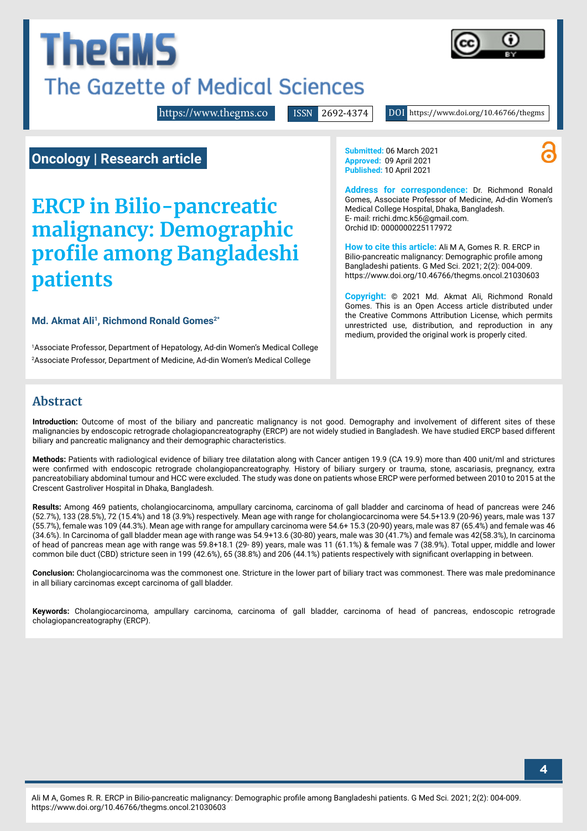# **The GMS** The Gazette of Medical Sciences



<https://www.thegms.co>

ISSN 2692-4374 DOI https://www.doi.org/10.46766/thegms

**Oncology | Research article**

# **ERCP in Bilio-pancreatic malignancy: Demographic profile among Bangladeshi patients**

Md. Akmat Ali<sup>1</sup>, Richmond Ronald Gomes<sup>2\*</sup>

1 Associate Professor, Department of Hepatology, Ad-din Women's Medical College 2 Associate Professor, Department of Medicine, Ad-din Women's Medical College

**Submitted:** 06 March 2021 **Approved:** 09 April 2021 **Published:** 10 April 2021

**Address for correspondence:** Dr. Richmond Ronald Gomes, Associate Professor of Medicine, Ad-din Women's Medical College Hospital, Dhaka, Bangladesh. E- mail: [rrichi.dmc.k56@gmail.com.](mailto:rrichi.dmc.k56%40gmail.com?subject=) Orchid ID: 0000000225117972

**How to cite this article:** Ali M A, Gomes R. R. ERCP in Bilio-pancreatic malignancy: Demographic profile among Bangladeshi patients. G Med Sci. 2021; 2(2): 004-009. https://www.doi.org/10.46766/thegms.oncol.21030603

**Copyright:** © 2021 Md. Akmat Ali, Richmond Ronald Gomes. This is an Open Access article distributed under the Creative Commons Attribution License, which permits unrestricted use, distribution, and reproduction in any medium, provided the original work is properly cited.

# **Abstract**

**Introduction:** Outcome of most of the biliary and pancreatic malignancy is not good. Demography and involvement of different sites of these malignancies by endoscopic retrograde cholagiopancreatography (ERCP) are not widely studied in Bangladesh. We have studied ERCP based different biliary and pancreatic malignancy and their demographic characteristics.

**Methods:** Patients with radiological evidence of biliary tree dilatation along with Cancer antigen 19.9 (CA 19.9) more than 400 unit/ml and strictures were confirmed with endoscopic retrograde cholangiopancreatography. History of biliary surgery or trauma, stone, ascariasis, pregnancy, extra pancreatobiliary abdominal tumour and HCC were excluded. The study was done on patients whose ERCP were performed between 2010 to 2015 at the Crescent Gastroliver Hospital in Dhaka, Bangladesh.

**Results:** Among 469 patients, cholangiocarcinoma, ampullary carcinoma, carcinoma of gall bladder and carcinoma of head of pancreas were 246 (52.7%), 133 (28.5%), 72 (15.4%) and 18 (3.9%) respectively. Mean age with range for cholangiocarcinoma were 54.5+13.9 (20-96) years, male was 137 (55.7%), female was 109 (44.3%). Mean age with range for ampullary carcinoma were 54.6+ 15.3 (20-90) years, male was 87 (65.4%) and female was 46 (34.6%). In Carcinoma of gall bladder mean age with range was 54.9+13.6 (30-80) years, male was 30 (41.7%) and female was 42(58.3%), In carcinoma of head of pancreas mean age with range was 59.8+18.1 (29- 89) years, male was 11 (61.1%) & female was 7 (38.9%). Total upper, middle and lower common bile duct (CBD) stricture seen in 199 (42.6%), 65 (38.8%) and 206 (44.1%) patients respectively with significant overlapping in between.

**Conclusion:** Cholangiocarcinoma was the commonest one. Stricture in the lower part of biliary tract was commonest. There was male predominance in all biliary carcinomas except carcinoma of gall bladder.

**Keywords:** Cholangiocarcinoma, ampullary carcinoma, carcinoma of gall bladder, carcinoma of head of pancreas, endoscopic retrograde cholagiopancreatography (ERCP).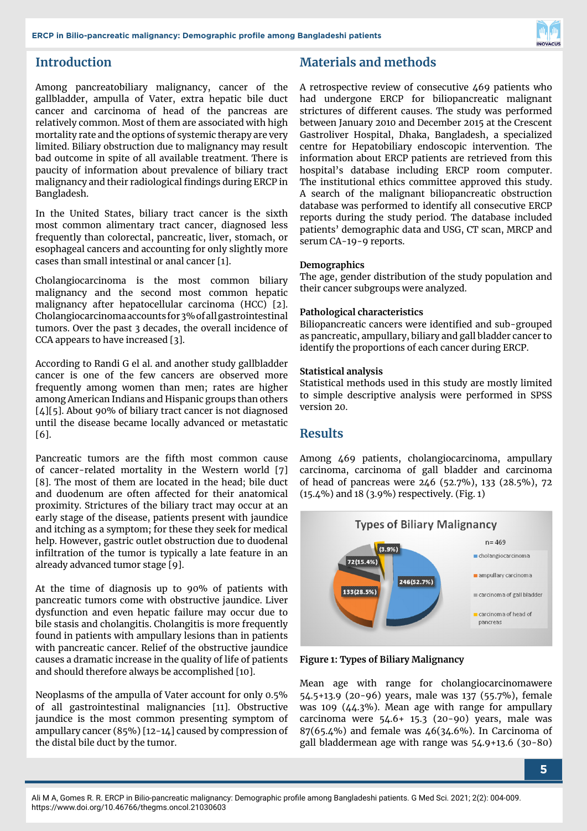

# **Introduction**

Among pancreatobiliary malignancy, cancer of the gallbladder, ampulla of Vater, extra hepatic bile duct cancer and carcinoma of head of the pancreas are relatively common. Most of them are associated with high mortality rate and the options of systemic therapy are very limited. Biliary obstruction due to malignancy may result bad outcome in spite of all available treatment. There is paucity of information about prevalence of biliary tract malignancy and their radiological findings during ERCP in Bangladesh.

In the United States, biliary tract cancer is the sixth most common alimentary tract cancer, diagnosed less frequently than colorectal, pancreatic, liver, stomach, or esophageal cancers and accounting for only slightly more cases than small intestinal or anal cancer [1].

Cholangiocarcinoma is the most common biliary malignancy and the second most common hepatic malignancy after hepatocellular carcinoma (HCC) [2]. Cholangiocarcinoma accounts for 3% of all gastrointestinal tumors. Over the past 3 decades, the overall incidence of CCA appears to have increased [3].

According to Randi G el al. and another study gallbladder cancer is one of the few cancers are observed more frequently among women than men; rates are higher among American Indians and Hispanic groups than others [4][5]. About 90% of biliary tract cancer is not diagnosed until the disease became locally advanced or metastatic [6].

Pancreatic tumors are the fifth most common cause of cancer-related mortality in the Western world [7] [8]. The most of them are located in the head; bile duct and duodenum are often affected for their anatomical proximity. Strictures of the biliary tract may occur at an early stage of the disease, patients present with jaundice and itching as a symptom; for these they seek for medical help. However, gastric outlet obstruction due to duodenal infiltration of the tumor is typically a late feature in an already advanced tumor stage [9].

At the time of diagnosis up to 90% of patients with pancreatic tumors come with obstructive jaundice. Liver dysfunction and even hepatic failure may occur due to bile stasis and cholangitis. Cholangitis is more frequently found in patients with ampullary lesions than in patients with pancreatic cancer. Relief of the obstructive jaundice causes a dramatic increase in the quality of life of patients and should therefore always be accomplished [10].

Neoplasms of the ampulla of Vater account for only 0.5% of all gastrointestinal malignancies [11]. Obstructive jaundice is the most common presenting symptom of ampullary cancer (85%) [12-14] caused by compression of the distal bile duct by the tumor.

# **Materials and methods**

A retrospective review of consecutive 469 patients who had undergone ERCP for biliopancreatic malignant strictures of different causes. The study was performed between January 2010 and December 2015 at the Crescent Gastroliver Hospital, Dhaka, Bangladesh, a specialized centre for Hepatobiliary endoscopic intervention. The information about ERCP patients are retrieved from this hospital's database including ERCP room computer. The institutional ethics committee approved this study. A search of the malignant biliopancreatic obstruction database was performed to identify all consecutive ERCP reports during the study period. The database included patients' demographic data and USG, CT scan, MRCP and serum CA-19-9 reports.

#### **Demographics**

The age, gender distribution of the study population and their cancer subgroups were analyzed.

#### **Pathological characteristics**

Biliopancreatic cancers were identified and sub-grouped as pancreatic, ampullary, biliary and gall bladder cancer to identify the proportions of each cancer during ERCP.

#### **Statistical analysis**

Statistical methods used in this study are mostly limited to simple descriptive analysis were performed in SPSS version 20.

#### **Results**

Among 469 patients, cholangiocarcinoma, ampullary carcinoma, carcinoma of gall bladder and carcinoma of head of pancreas were 246 (52.7%), 133 (28.5%), 72 (15.4%) and 18 (3.9%) respectively. (Fig. 1)



**Figure 1: Types of Biliary Malignancy**

Mean age with range for cholangiocarcinomawere 54.5+13.9 (20-96) years, male was 137 (55.7%), female was 109 (44.3%). Mean age with range for ampullary carcinoma were 54.6+ 15.3 (20-90) years, male was  $87(65.4\%)$  and female was  $46(34.6\%)$ . In Carcinoma of gall bladdermean age with range was 54.9+13.6 (30-80)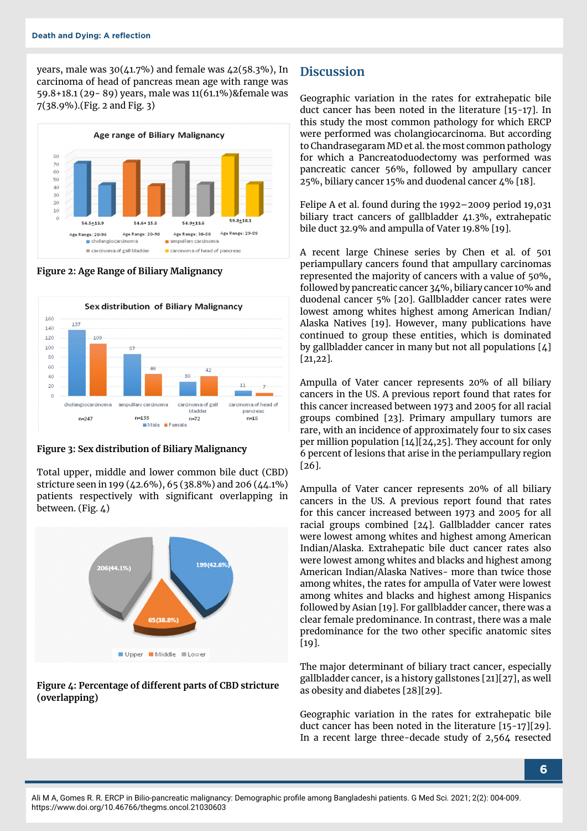years, male was 30(41.7%) and female was 42(58.3%), In carcinoma of head of pancreas mean age with range was 59.8+18.1 (29- 89) years, male was 11(61.1%)&female was 7(38.9%).(Fig. 2 and Fig. 3)



**Figure 2: Age Range of Biliary Malignancy**



**Figure 3: Sex distribution of Biliary Malignancy**

Total upper, middle and lower common bile duct (CBD) stricture seen in 199 (42.6%), 65 (38.8%) and 206 (44.1%) patients respectively with significant overlapping in between. (Fig. 4)



#### **Figure 4: Percentage of different parts of CBD stricture (overlapping)**

## **Discussion**

Geographic variation in the rates for extrahepatic bile duct cancer has been noted in the literature [15-17]. In this study the most common pathology for which ERCP were performed was cholangiocarcinoma. But according to Chandrasegaram MD et al. the most common pathology for which a Pancreatoduodectomy was performed was pancreatic cancer 56%, followed by ampullary cancer 25%, biliary cancer 15% and duodenal cancer 4% [18].

Felipe A et al. found during the 1992–2009 period 19,031 biliary tract cancers of gallbladder 41.3%, extrahepatic bile duct 32.9% and ampulla of Vater 19.8% [19].

A recent large Chinese series by Chen et al. of 501 periampullary cancers found that ampullary carcinomas represented the majority of cancers with a value of 50%, followed by pancreatic cancer 34%, biliary cancer 10% and duodenal cancer 5% [20]. Gallbladder cancer rates were lowest among whites highest among American Indian/ Alaska Natives [19]. However, many publications have continued to group these entities, which is dominated by gallbladder cancer in many but not all populations [4] [21,22].

Ampulla of Vater cancer represents 20% of all biliary cancers in the US. A previous report found that rates for this cancer increased between 1973 and 2005 for all racial groups combined [23]. Primary ampullary tumors are rare, with an incidence of approximately four to six cases per million population [14][24,25]. They account for only 6 percent of lesions that arise in the periampullary region [26].

Ampulla of Vater cancer represents 20% of all biliary cancers in the US. A previous report found that rates for this cancer increased between 1973 and 2005 for all racial groups combined [24]. Gallbladder cancer rates were lowest among whites and highest among American Indian/Alaska. Extrahepatic bile duct cancer rates also were lowest among whites and blacks and highest among American Indian/Alaska Natives- more than twice those among whites, the rates for ampulla of Vater were lowest among whites and blacks and highest among Hispanics followed by Asian [19]. For gallbladder cancer, there was a clear female predominance. In contrast, there was a male predominance for the two other specific anatomic sites [19].

The major determinant of biliary tract cancer, especially gallbladder cancer, is a history gallstones [21][27], as well as obesity and diabetes [28][29].

Geographic variation in the rates for extrahepatic bile duct cancer has been noted in the literature [15-17][29]. In a recent large three-decade study of 2,564 resected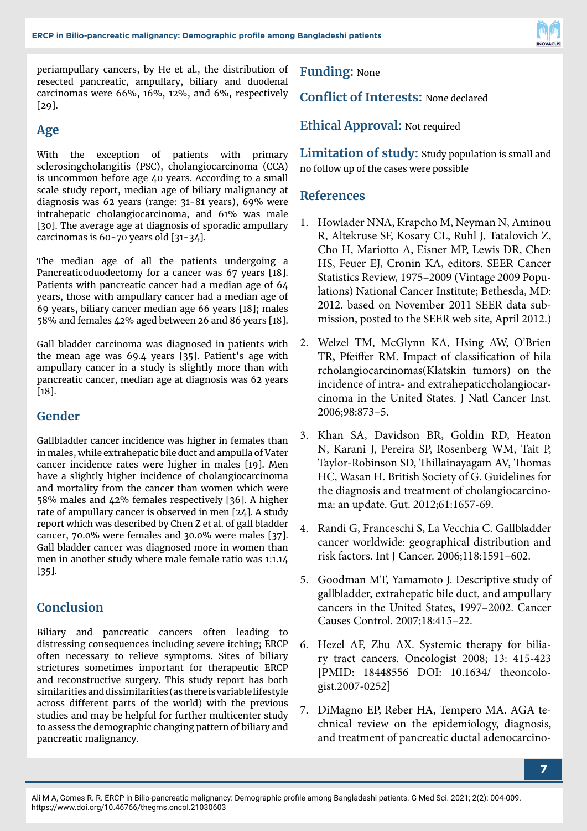

periampullary cancers, by He et al., the distribution of resected pancreatic, ampullary, biliary and duodenal carcinomas were 66%, 16%, 12%, and 6%, respectively [29].

# **Age**

With the exception of patients with primary sclerosingcholangitis (PSC), cholangiocarcinoma (CCA) is uncommon before age 40 years. According to a small scale study report, median age of biliary malignancy at diagnosis was 62 years (range: 31-81 years), 69% were intrahepatic cholangiocarcinoma, and 61% was male [30]. The average age at diagnosis of sporadic ampullary carcinomas is 60-70 years old [31-34].

The median age of all the patients undergoing a Pancreaticoduodectomy for a cancer was 67 years [18]. Patients with pancreatic cancer had a median age of 64 years, those with ampullary cancer had a median age of 69 years, biliary cancer median age 66 years [18]; males 58% and females 42% aged between 26 and 86 years [18].

Gall bladder carcinoma was diagnosed in patients with the mean age was 69.4 years [35]. Patient's age with ampullary cancer in a study is slightly more than with pancreatic cancer, median age at diagnosis was 62 years [18].

## **Gender**

Gallbladder cancer incidence was higher in females than in males, while extrahepatic bile duct and ampulla of Vater cancer incidence rates were higher in males [19]. Men have a slightly higher incidence of cholangiocarcinoma and mortality from the cancer than women which were 58% males and 42% females respectively [36]. A higher rate of ampullary cancer is observed in men [24]. A study report which was described by Chen Z et al. of gall bladder cancer, 70.0% were females and 30.0% were males [37]. Gall bladder cancer was diagnosed more in women than men in another study where male female ratio was 1:1.14 [35].

# **Conclusion**

Biliary and pancreatic cancers often leading to distressing consequences including severe itching; ERCP often necessary to relieve symptoms. Sites of biliary strictures sometimes important for therapeutic ERCP and reconstructive surgery. This study report has both similarities and dissimilarities (as there is variable lifestyle across different parts of the world) with the previous studies and may be helpful for further multicenter study to assess the demographic changing pattern of biliary and pancreatic malignancy.

**Funding:** None

**Conflict of Interests:** None declared

**Ethical Approval:** Not required

**Limitation of study:** Study population is small and no follow up of the cases were possible

# **References**

- 1. Howlader NNA, Krapcho M, Neyman N, Aminou R, Altekruse SF, Kosary CL, Ruhl J, Tatalovich Z, Cho H, Mariotto A, Eisner MP, Lewis DR, Chen HS, Feuer EJ, Cronin KA, editors. SEER Cancer Statistics Review, 1975–2009 (Vintage 2009 Populations) National Cancer Institute; Bethesda, MD: 2012. based on November 2011 SEER data submission, posted to the SEER web site, April 2012.)
- 2. Welzel TM, McGlynn KA, Hsing AW, O'Brien TR, Pfeiffer RM. Impact of classification of hila rcholangiocarcinomas(Klatskin tumors) on the incidence of intra- and extrahepaticcholangiocarcinoma in the United States. J Natl Cancer Inst. 2006;98:873–5.
- 3. Khan SA, Davidson BR, Goldin RD, Heaton N, Karani J, Pereira SP, Rosenberg WM, Tait P, Taylor-Robinson SD, Thillainayagam AV, Thomas HC, Wasan H. British Society of G. Guidelines for the diagnosis and treatment of cholangiocarcinoma: an update. Gut. 2012;61:1657-69.
- 4. Randi G, Franceschi S, La Vecchia C. Gallbladder cancer worldwide: geographical distribution and risk factors. Int J Cancer. 2006;118:1591–602.
- 5. Goodman MT, Yamamoto J. Descriptive study of gallbladder, extrahepatic bile duct, and ampullary cancers in the United States, 1997–2002. Cancer Causes Control. 2007;18:415–22.
- 6. Hezel AF, Zhu AX. Systemic therapy for biliary tract cancers. Oncologist 2008; 13: 415-423 [PMID: 18448556 DOI: 10.1634/ theoncologist.2007-0252]
- 7. DiMagno EP, Reber HA, Tempero MA. AGA technical review on the epidemiology, diagnosis, and treatment of pancreatic ductal adenocarcino-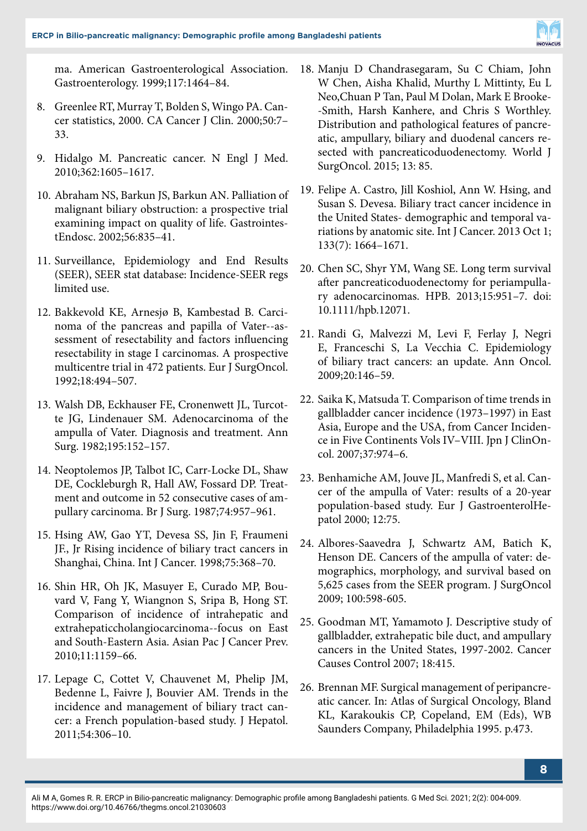

ma. American Gastroenterological Association. Gastroenterology. 1999;117:1464–84.

- 8. Greenlee RT, Murray T, Bolden S, Wingo PA. Cancer statistics, 2000. CA Cancer J Clin. 2000;50:7– 33.
- 9. Hidalgo M. Pancreatic cancer. N Engl J Med. 2010;362:1605–1617.
- 10. Abraham NS, Barkun JS, Barkun AN. Palliation of malignant biliary obstruction: a prospective trial examining impact on quality of life. GastrointestEndosc. 2002;56:835–41.
- 11. Surveillance, Epidemiology and End Results (SEER), SEER stat database: Incidence-SEER regs limited use.
- 12. Bakkevold KE, Arnesjø B, Kambestad B. Carcinoma of the pancreas and papilla of Vater--assessment of resectability and factors influencing resectability in stage I carcinomas. A prospective multicentre trial in 472 patients. Eur J SurgOncol. 1992;18:494–507.
- 13. Walsh DB, Eckhauser FE, Cronenwett JL, Turcotte JG, Lindenauer SM. Adenocarcinoma of the ampulla of Vater. Diagnosis and treatment. Ann Surg. 1982;195:152–157.
- 14. Neoptolemos JP, Talbot IC, Carr-Locke DL, Shaw DE, Cockleburgh R, Hall AW, Fossard DP. Treatment and outcome in 52 consecutive cases of ampullary carcinoma. Br J Surg. 1987;74:957–961.
- 15. Hsing AW, Gao YT, Devesa SS, Jin F, Fraumeni JF., Jr Rising incidence of biliary tract cancers in Shanghai, China. Int J Cancer. 1998;75:368–70.
- 16. Shin HR, Oh JK, Masuyer E, Curado MP, Bouvard V, Fang Y, Wiangnon S, Sripa B, Hong ST. Comparison of incidence of intrahepatic and extrahepaticcholangiocarcinoma--focus on East and South-Eastern Asia. Asian Pac J Cancer Prev. 2010;11:1159–66.
- 17. Lepage C, Cottet V, Chauvenet M, Phelip JM, Bedenne L, Faivre J, Bouvier AM. Trends in the incidence and management of biliary tract cancer: a French population-based study. J Hepatol. 2011;54:306–10.
- 18. Manju D Chandrasegaram, Su C Chiam, John W Chen, Aisha Khalid, Murthy L Mittinty, Eu L Neo,Chuan P Tan, Paul M Dolan, Mark E Brooke- -Smith, Harsh Kanhere, and Chris S Worthley. Distribution and pathological features of pancreatic, ampullary, biliary and duodenal cancers resected with pancreaticoduodenectomy. World J SurgOncol. 2015; 13: 85.
- 19. Felipe A. Castro, Jill Koshiol, Ann W. Hsing, and Susan S. Devesa. Biliary tract cancer incidence in the United States- demographic and temporal variations by anatomic site. Int J Cancer. 2013 Oct 1; 133(7): 1664–1671.
- 20. Chen SC, Shyr YM, Wang SE. Long term survival after pancreaticoduodenectomy for periampullary adenocarcinomas. HPB. 2013;15:951–7. doi: 10.1111/hpb.12071.
- 21. Randi G, Malvezzi M, Levi F, Ferlay J, Negri E, Franceschi S, La Vecchia C. Epidemiology of biliary tract cancers: an update. Ann Oncol. 2009;20:146–59.
- 22. Saika K, Matsuda T. Comparison of time trends in gallbladder cancer incidence (1973–1997) in East Asia, Europe and the USA, from Cancer Incidence in Five Continents Vols IV–VIII. Jpn J ClinOncol. 2007;37:974–6.
- 23. Benhamiche AM, Jouve JL, Manfredi S, et al. Cancer of the ampulla of Vater: results of a 20-year population-based study. Eur J GastroenterolHepatol 2000; 12:75.
- 24. Albores-Saavedra J, Schwartz AM, Batich K, Henson DE. Cancers of the ampulla of vater: demographics, morphology, and survival based on 5,625 cases from the SEER program. J SurgOncol 2009; 100:598-605.
- 25. Goodman MT, Yamamoto J. Descriptive study of gallbladder, extrahepatic bile duct, and ampullary cancers in the United States, 1997-2002. Cancer Causes Control 2007; 18:415.
- 26. Brennan MF. Surgical management of peripancreatic cancer. In: Atlas of Surgical Oncology, Bland KL, Karakoukis CP, Copeland, EM (Eds), WB Saunders Company, Philadelphia 1995. p.473.